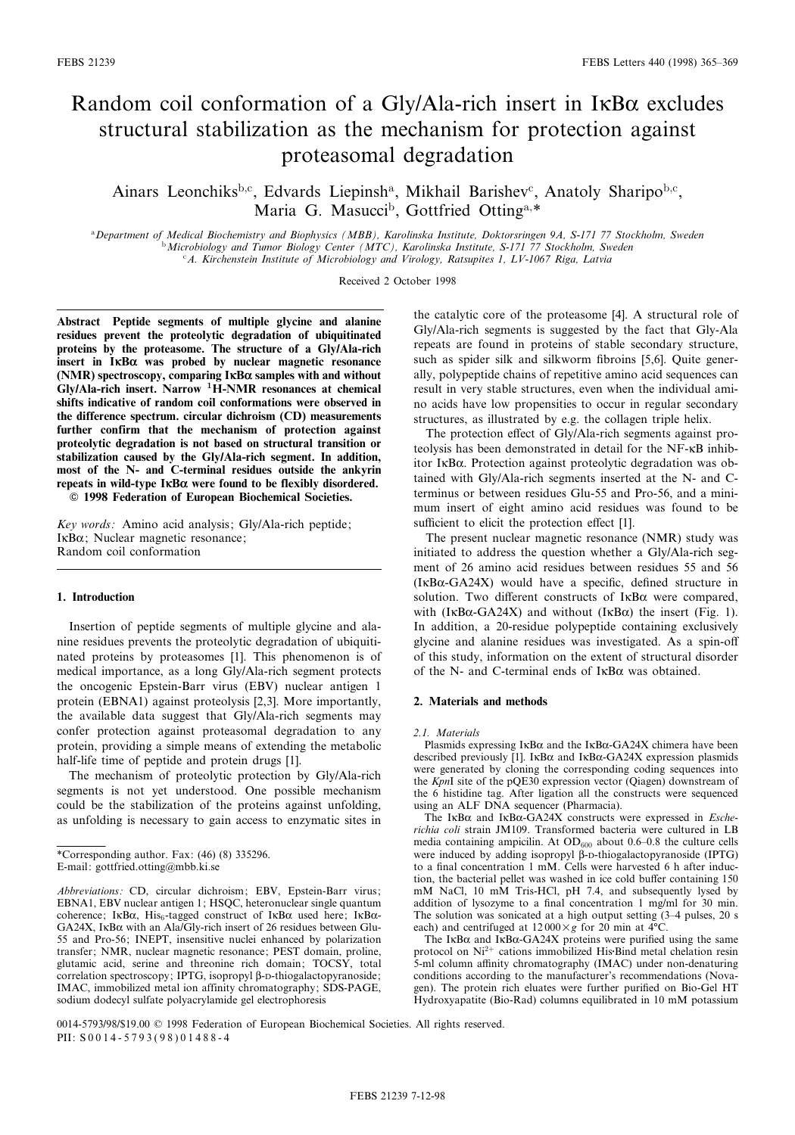# Random coil conformation of a Gly/Ala-rich insert in  $I\kappa B\alpha$  excludes structural stabilization as the mechanism for protection against proteasomal degradation

Ainars Leonchiks<sup>b,c</sup>, Edvards Liepinsh<sup>a</sup>, Mikhail Barishev<sup>c</sup>, Anatoly Sharipo<sup>b,c</sup>, Maria G. Masucci<sup>b</sup>, Gottfried Otting<sup>a,\*</sup>

aDepartment of Medical Biochemistry and Biophysics (MBB), Karolinska Institute, Doktorsringen 9A, S-171 77 Stockholm, Sweden **b Microbiology and Tumor Biology Center (MTC), Karolinska Institute, S-171 77 Stockholm, Sweden**  $c_A$ . Kirchenstein Institute of Microbiology and Virology, Ratsupites 1, LV-1067 Riga, Latvia

Received 2 October 1998

Abstract Peptide segments of multiple glycine and alanine residues prevent the proteolytic degradation of ubiquitinated proteins by the proteasome. The structure of a Gly/Ala-rich insert in  $I$  $\kappa$ B $\alpha$  was probed by nuclear magnetic resonance (NMR) spectroscopy, comparing  $I\kappa B\alpha$  samples with and without  $Gly/Ala$ -rich insert. Narrow <sup>1</sup>H-NMR resonances at chemical shifts indicative of random coil conformations were observed in the difference spectrum. circular dichroism (CD) measurements further confirm that the mechanism of protection against proteolytic degradation is not based on structural transition or stabilization caused by the Gly/Ala-rich segment. In addition, most of the N- and C-terminal residues outside the ankyrin repeats in wild-type  $I\kappa B\alpha$  were found to be flexibly disordered.  $©$  1998 Federation of European Biochemical Societies.

Key words: Amino acid analysis; Gly/Ala-rich peptide;  $I\kappa B\alpha$ ; Nuclear magnetic resonance;

Random coil conformation

## 1. Introduction

Insertion of peptide segments of multiple glycine and alanine residues prevents the proteolytic degradation of ubiquitinated proteins by proteasomes [1]. This phenomenon is of medical importance, as a long Gly/Ala-rich segment protects the oncogenic Epstein-Barr virus (EBV) nuclear antigen 1 protein (EBNA1) against proteolysis [2,3]. More importantly, the available data suggest that Gly/Ala-rich segments may confer protection against proteasomal degradation to any protein, providing a simple means of extending the metabolic half-life time of peptide and protein drugs [1].

The mechanism of proteolytic protection by Gly/Ala-rich segments is not yet understood. One possible mechanism could be the stabilization of the proteins against unfolding, as unfolding is necessary to gain access to enzymatic sites in

the catalytic core of the proteasome [4]. A structural role of Gly/Ala-rich segments is suggested by the fact that Gly-Ala repeats are found in proteins of stable secondary structure, such as spider silk and silkworm fibroins [5,6]. Quite generally, polypeptide chains of repetitive amino acid sequences can result in very stable structures, even when the individual amino acids have low propensities to occur in regular secondary structures, as illustrated by e.g. the collagen triple helix.

The protection effect of Gly/Ala-rich segments against proteolysis has been demonstrated in detail for the NF-KB inhibitor I $\kappa$ B $\alpha$ . Protection against proteolytic degradation was obtained with Gly/Ala-rich segments inserted at the N- and Cterminus or between residues Glu-55 and Pro-56, and a minimum insert of eight amino acid residues was found to be sufficient to elicit the protection effect [1].

The present nuclear magnetic resonance (NMR) study was initiated to address the question whether a Gly/Ala-rich segment of 26 amino acid residues between residues 55 and 56  $(I \kappa B\alpha$ -GA24X) would have a specific, defined structure in solution. Two different constructs of  $I$ <sub>K</sub>B $\alpha$  were compared, with (IKB $\alpha$ -GA24X) and without (IKB $\alpha$ ) the insert (Fig. 1). In addition, a 20-residue polypeptide containing exclusively glycine and alanine residues was investigated. As a spin-off of this study, information on the extent of structural disorder of the N- and C-terminal ends of  $I \kappa B\alpha$  was obtained.

### 2. Materials and methods

#### 2.1. Materials

Plasmids expressing  $I\kappa B\alpha$  and the  $I\kappa B\alpha$ -GA24X chimera have been described previously [1]. IKB $\alpha$  and IKB $\alpha$ -GA24X expression plasmids were generated by cloning the corresponding coding sequences into the KpnI site of the pQE30 expression vector (Qiagen) downstream of the 6 histidine tag. After ligation all the constructs were sequenced using an ALF DNA sequencer (Pharmacia).

The IKB $\alpha$  and IKB $\alpha$ -GA24X constructs were expressed in *Esche*richia coli strain JM109. Transformed bacteria were cultured in LB media containing ampicilin. At  $OD_{600}$  about 0.6-0.8 the culture cells were induced by adding isopropyl  $\beta$ -D-thiogalactopyranoside (IPTG) to a final concentration 1 mM. Cells were harvested 6 h after induction, the bacterial pellet was washed in ice cold buffer containing 150 mM NaCl, 10 mM Tris-HCl, pH 7.4, and subsequently lysed by addition of lysozyme to a final concentration 1 mg/ml for 30 min. The solution was sonicated at a high output setting (3-4 pulses, 20 s each) and centrifuged at  $12000 \times g$  for 20 min at 4°C.

The IKB $\alpha$  and IKB $\alpha$ -GA24X proteins were purified using the same protocol on  $Ni^{2+}$  cations immobilized His Bind metal chelation resin 5-ml column affinity chromatography (IMAC) under non-denaturing conditions according to the manufacturer's recommendations (Novagen). The protein rich eluates were further purified on Bio-Gel HT Hydroxyapatite (Bio-Rad) columns equilibrated in 10 mM potassium

<sup>\*</sup>Corresponding author. Fax: (46) (8) 335296. E-mail: gottfried.otting@mbb.ki.se

Abbreviations: CD, circular dichroism; EBV, Epstein-Barr virus; EBNA1, EBV nuclear antigen 1; HSQC, heteronuclear single quantum coherence; IKB $\alpha$ , His<sub>6</sub>-tagged construct of IKB $\alpha$  used here; IKB $\alpha$ - $GA24X$ , IKB $\alpha$  with an Ala/Gly-rich insert of 26 residues between Glu-55 and Pro-56; INEPT, insensitive nuclei enhanced by polarization transfer; NMR, nuclear magnetic resonance; PEST domain, proline, glutamic acid, serine and threonine rich domain; TOCSY, total correlation spectroscopy; IPTG, isopropyl  $\beta$ -D-thiogalactopyranoside; IMAC, immobilized metal ion affinity chromatography; SDS-PAGE, sodium dodecyl sulfate polyacrylamide gel electrophoresis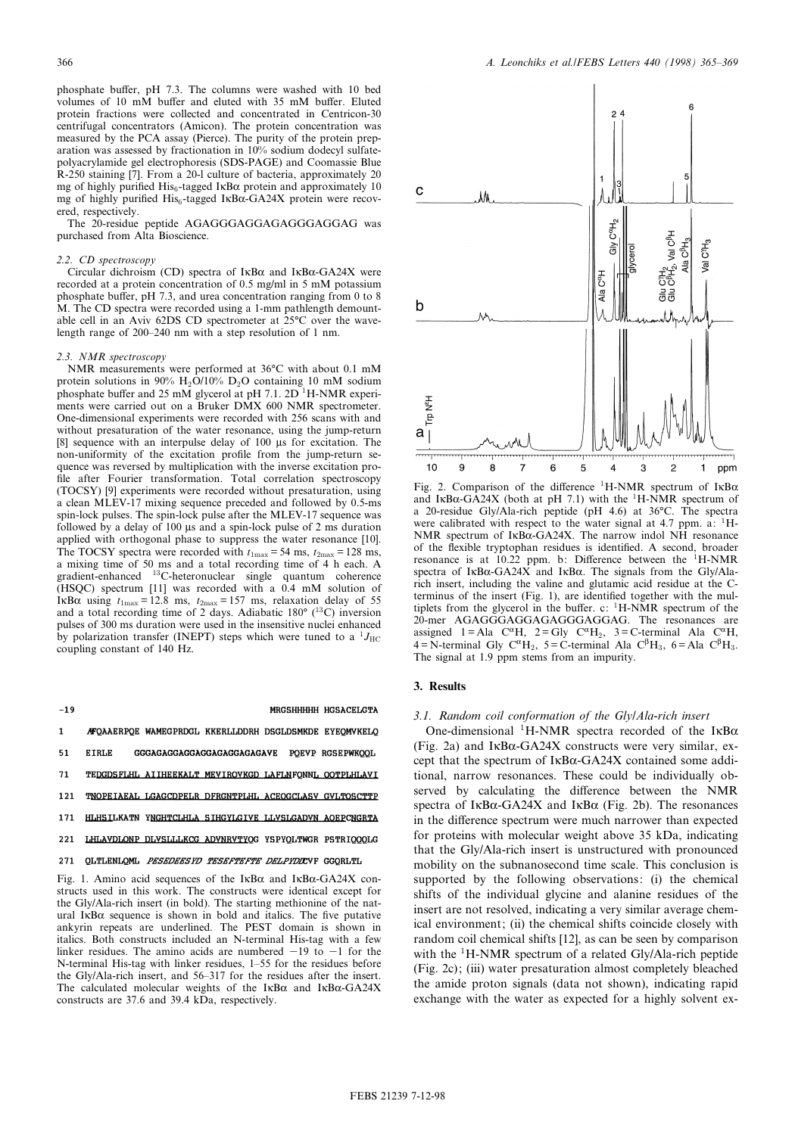phosphate buffer, pH 7.3. The columns were washed with 10 bed volumes of 10 mM buffer and eluted with 35 mM buffer. Eluted protein fractions were collected and concentrated in Centricon-30 centrifugal concentrators (Amicon). The protein concentration was measured by the PCA assay (Pierce). The purity of the protein preparation was assessed by fractionation in 10% sodium dodecyl sulfatepolyacrylamide gel electrophoresis (SDS-PAGE) and Coomassie Blue R-250 staining [7]. From a 20-l culture of bacteria, approximately 20 mg of highly purified His<sub>6</sub>-tagged IKB $\alpha$  protein and approximately 10 mg of highly purified  $His<sub>6</sub>$ -tagged I $\kappa Ba$ -GA24X protein were recovered, respectively.

The 20-residue peptide AGAGGGAGGAGAGGGAGGAG was purchased from Alta Bioscience.

#### 2.2. CD spectroscopy

Circular dichroism (CD) spectra of  $I \kappa B\alpha$  and  $I \kappa B\alpha$ -GA24X were recorded at a protein concentration of 0.5 mg/ml in 5 mM potassium phosphate buffer, pH 7.3, and urea concentration ranging from 0 to 8 M. The CD spectra were recorded using a 1-mm pathlength demountable cell in an Aviv 62DS CD spectrometer at  $25^{\circ}$ C over the wavelength range of 200-240 nm with a step resolution of 1 nm.

#### 2.3. NMR spectroscopy

NMR measurements were performed at 36°C with about 0.1 mM protein solutions in 90% H<sub>2</sub>O/10% D<sub>2</sub>O containing 10 mM sodium phosphate buffer and 25 mM glycerol at pH 7.1. 2D <sup>1</sup>H-NMR experiments were carried out on a Bruker DMX 600 NMR spectrometer. One-dimensional experiments were recorded with 256 scans with and without presaturation of the water resonance, using the jump-return [8] sequence with an interpulse delay of 100 us for excitation. The non-uniformity of the excitation profile from the jump-return sequence was reversed by multiplication with the inverse excitation pro file after Fourier transformation. Total correlation spectroscopy (TOCSY) [9] experiments were recorded without presaturation, using a clean MLEV-17 mixing sequence preceded and followed by 0.5-ms spin-lock pulses. The spin-lock pulse after the MLEV-17 sequence was followed by a delay of  $100 \mu s$  and a spin-lock pulse of 2 ms duration applied with orthogonal phase to suppress the water resonance [10]. The TOCSY spectra were recorded with  $t_{1\text{max}} = 54 \text{ ms}, t_{2\text{max}} = 128 \text{ ms},$ a mixing time of 50 ms and a total recording time of 4 h each. A gradient-enhanced <sup>13</sup>C-heteronuclear single quantum coherence (HSQC) spectrum [11] was recorded with a 0.4 mM solution of IKB $\alpha$  using  $t_{1\text{max}} = 12.8$  ms,  $t_{2\text{max}} = 157$  ms, relaxation delay of 55 and a total recording time of 2 days. Adiabatic  $180^\circ$  (<sup>13</sup>C) inversion pulses of 300 ms duration were used in the insensitive nuclei enhanced by polarization transfer (INEPT) steps which were tuned to a  $^{1}J_{\text{HC}}$ coupling constant of 140 Hz.

 $-19$ 

#### MRGSHHHHH HGSACELGTA

- **/FQAAERPQE WAMEGPRDGL KKERLLDDRH DSGLDSMKDE EYEQMVKELQ**  $\mathbf{1}$ **ETRLE** GGGAGAGGAGGAGGAGAGGAGAGAVE POEVP RGSEPWKOOL 51 TEDGDSFLHL AIIHEEKALT MEVIROVKGD LAFLNFONNL OOTPLHLAVI 71
- TNOPEIAEAL LGAGCDPELR DFRGNTPLHL ACEOGCLASV GVLTOSCTTP 121
- HLHSILKATN YNGHTCLHLA SIHGYLGIVE LLVSLGADVN AOEPCNGRTA 171
- 221 LHLAVDLONP DLVSLLLKCG ADVNRVTYOG YSPYOLTWGR PSTRIOOOLG

#### 271 QLTLENLQML PESEDEESYD TESEFTEFTE DELPYDICVF GGQRLTL

Fig. 1. Amino acid sequences of the  $I\kappa B\alpha$  and  $I\kappa B\alpha$ -GA24X constructs used in this work. The constructs were identical except for the Gly/Ala-rich insert (in bold). The starting methionine of the natural IKB $\alpha$  sequence is shown in bold and italics. The five putative ankyrin repeats are underlined. The PEST domain is shown in italics. Both constructs included an N-terminal His-tag with a few linker residues. The amino acids are numbered  $-19$  to  $-1$  for the N-terminal His-tag with linker residues, 1-55 for the residues before the Gly/Ala-rich insert, and 56^317 for the residues after the insert. The calculated molecular weights of the  $I\kappa B\alpha$  and  $I\kappa B\alpha$ -GA24X constructs are 37.6 and 39.4 kDa, respectively.



Fig. 2. Comparison of the difference  ${}^{1}$ H-NMR spectrum of IKB $\alpha$ and IKB $\alpha$ -GA24X (both at pH 7.1) with the <sup>1</sup>H-NMR spectrum of a 20-residue Gly/Ala-rich peptide (pH 4.6) at 36°C. The spectra were calibrated with respect to the water signal at 4.7 ppm. a:  $^1$ H-NMR spectrum of IKBa-GA24X. The narrow indol NH resonance of the flexible tryptophan residues is identified. A second, broader resonance is at  $10.22$  ppm. b: Difference between the <sup>1</sup>H-NMR spectra of IKB $\alpha$ -GA24X and IKB $\alpha$ . The signals from the Gly/Alarich insert, including the valine and glutamic acid residue at the Cterminus of the insert (Fig. 1), are identified together with the multiplets from the glycerol in the buffer. c:  ${}^{1}$ H-NMR spectrum of the 20-mer AGAGGGAGGAGAGGGAGGAG. The resonances are assigned 1 = Ala C<sup> $\alpha$ </sup>H, 2 = Gly C<sup> $\alpha$ </sup>H<sub>2</sub>, 3 = C-terminal Ala C<sup> $\alpha$ </sup>H,  $4 = N$ -terminal Gly C<sup> $\alpha$ </sup>H<sub>2</sub>, 5 = C-terminal Ala C<sup> $\beta$ </sup>H<sub>3</sub>, 6 = Ala C<sup> $\beta$ </sup>H<sub>3</sub>. The signal at 1.9 ppm stems from an impurity.

#### 3. Results

#### 3.1. Random coil conformation of the Gly/Ala-rich insert

One-dimensional <sup>1</sup>H-NMR spectra recorded of the IKB $\alpha$ (Fig. 2a) and  $I \kappa B\alpha$ -GA24X constructs were very similar, except that the spectrum of  $I\kappa B\alpha$ -GA24X contained some additional, narrow resonances. These could be individually observed by calculating the difference between the NMR spectra of  $I \kappa B\alpha$ -GA24X and  $I \kappa B\alpha$  (Fig. 2b). The resonances in the difference spectrum were much narrower than expected for proteins with molecular weight above 35 kDa, indicating that the Gly/Ala-rich insert is unstructured with pronounced mobility on the subnanosecond time scale. This conclusion is supported by the following observations: (i) the chemical shifts of the individual glycine and alanine residues of the insert are not resolved, indicating a very similar average chemical environment; (ii) the chemical shifts coincide closely with random coil chemical shifts [12], as can be seen by comparison with the  ${}^{1}$ H-NMR spectrum of a related Gly/Ala-rich peptide (Fig. 2c); (iii) water presaturation almost completely bleached the amide proton signals (data not shown), indicating rapid exchange with the water as expected for a highly solvent ex-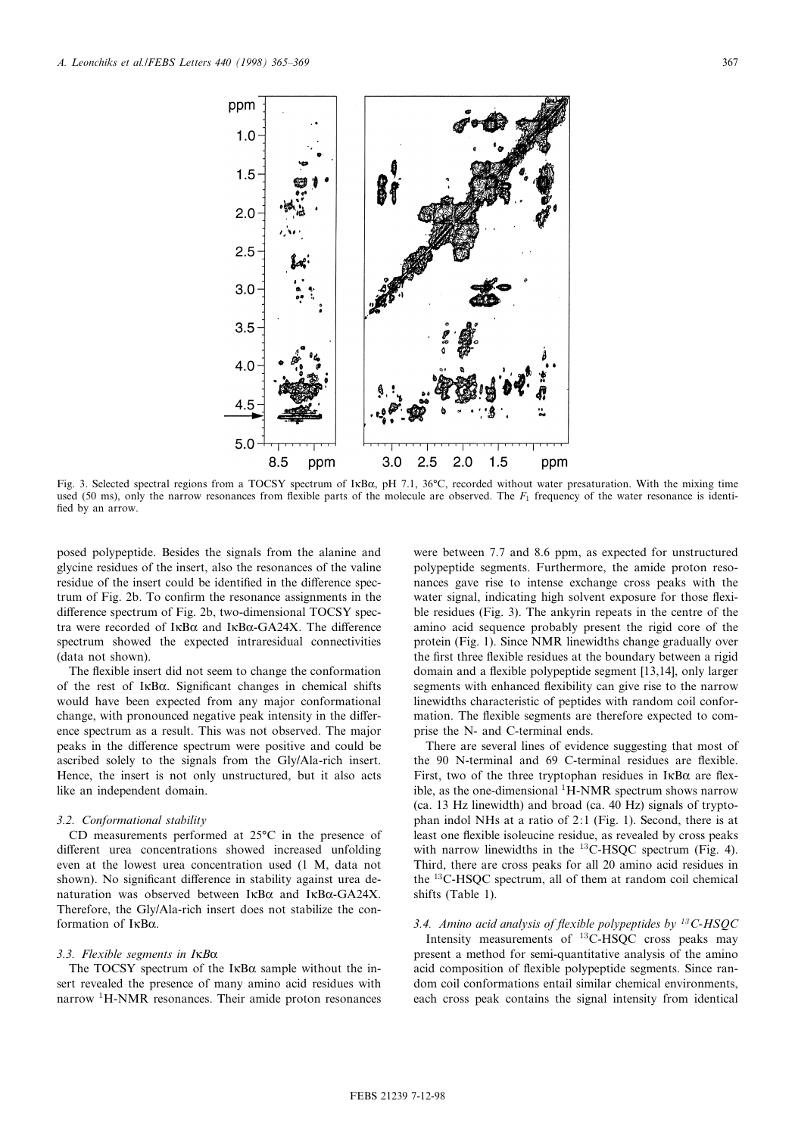

Fig. 3. Selected spectral regions from a TOCSY spectrum of IKB $\alpha$ , pH 7.1, 36°C, recorded without water presaturation. With the mixing time used (50 ms), only the narrow resonances from flexible parts of the molecule are observed. The  $F_1$  frequency of the water resonance is identified by an arrow.

posed polypeptide. Besides the signals from the alanine and glycine residues of the insert, also the resonances of the valine residue of the insert could be identified in the difference spectrum of Fig. 2b. To confirm the resonance assignments in the difference spectrum of Fig. 2b, two-dimensional TOCSY spectra were recorded of  $I\kappa B\alpha$  and  $I\kappa B\alpha$ -GA24X. The difference spectrum showed the expected intraresidual connectivities (data not shown).

The flexible insert did not seem to change the conformation of the rest of  $I \kappa B\alpha$ . Significant changes in chemical shifts would have been expected from any major conformational change, with pronounced negative peak intensity in the difference spectrum as a result. This was not observed. The major peaks in the difference spectrum were positive and could be ascribed solely to the signals from the Gly/Ala-rich insert. Hence, the insert is not only unstructured, but it also acts like an independent domain.

#### 3.2. Conformational stability

CD measurements performed at  $25^{\circ}$ C in the presence of different urea concentrations showed increased unfolding even at the lowest urea concentration used (1 M, data not shown). No significant difference in stability against urea denaturation was observed between  $I\kappa B\alpha$  and  $I\kappa B\alpha$ -GA24X. Therefore, the Gly/Ala-rich insert does not stabilize the conformation of  $I\kappa B\alpha$ .

## 3.3. Flexible segments in  $I$ <sub>KB $\alpha$ </sub>

The TOCSY spectrum of the  $I\kappa B\alpha$  sample without the insert revealed the presence of many amino acid residues with narrow <sup>1</sup>H-NMR resonances. Their amide proton resonances were between 7.7 and 8.6 ppm, as expected for unstructured polypeptide segments. Furthermore, the amide proton resonances gave rise to intense exchange cross peaks with the water signal, indicating high solvent exposure for those flexible residues (Fig. 3). The ankyrin repeats in the centre of the amino acid sequence probably present the rigid core of the protein (Fig. 1). Since NMR linewidths change gradually over the first three flexible residues at the boundary between a rigid domain and a flexible polypeptide segment [13,14], only larger segments with enhanced flexibility can give rise to the narrow linewidths characteristic of peptides with random coil conformation. The flexible segments are therefore expected to comprise the N- and C-terminal ends.

There are several lines of evidence suggesting that most of the 90 N-terminal and 69 C-terminal residues are flexible. First, two of the three tryptophan residues in  $I \kappa B\alpha$  are flexible, as the one-dimensional  ${}^{1}$ H-NMR spectrum shows narrow (ca. 13 Hz linewidth) and broad (ca. 40 Hz) signals of tryptophan indol NHs at a ratio of 2:1 (Fig. 1). Second, there is at least one flexible isoleucine residue, as revealed by cross peaks with narrow linewidths in the <sup>13</sup>C-HSQC spectrum (Fig. 4). Third, there are cross peaks for all 20 amino acid residues in the <sup>13</sup>C-HSQC spectrum, all of them at random coil chemical shifts (Table 1).

## 3.4. Amino acid analysis of flexible polypeptides by  $^{13}$ C-HSQC

Intensity measurements of <sup>13</sup>C-HSQC cross peaks may present a method for semi-quantitative analysis of the amino acid composition of flexible polypeptide segments. Since random coil conformations entail similar chemical environments, each cross peak contains the signal intensity from identical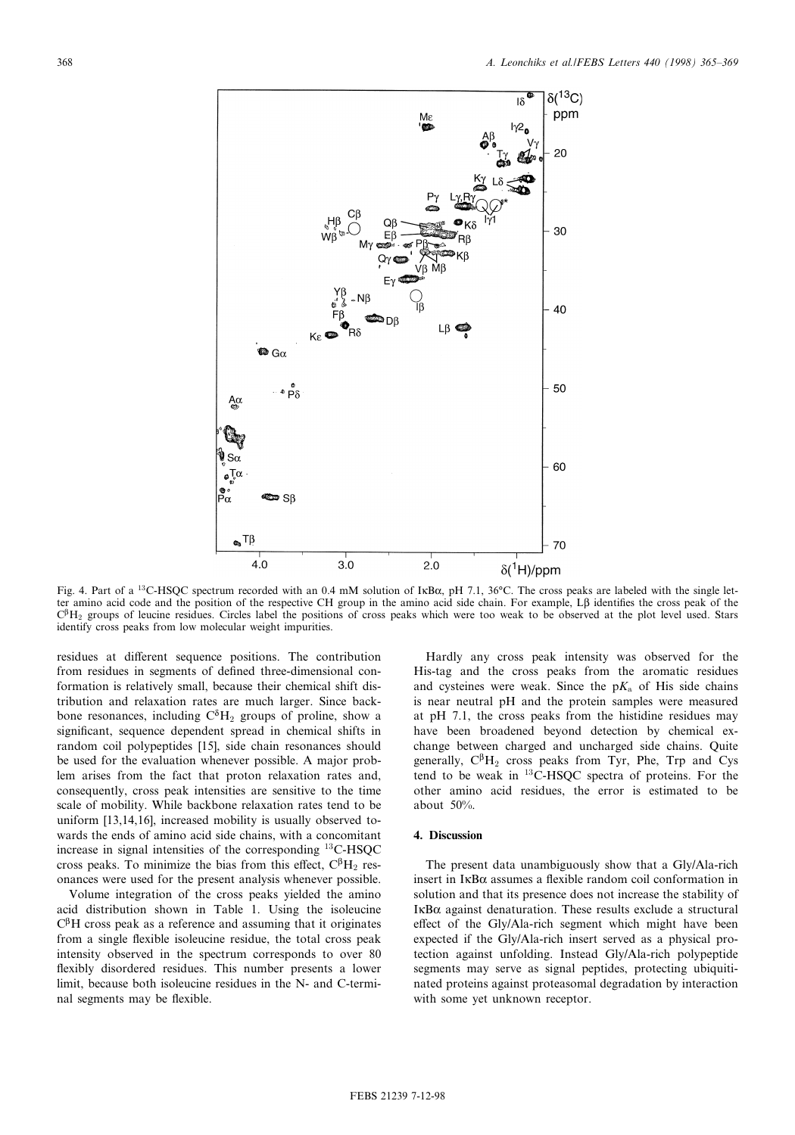

Fig. 4. Part of a <sup>13</sup>C-HSOC spectrum recorded with an 0.4 mM solution of IkB $\alpha$ , pH 7.1, 36°C. The cross peaks are labeled with the single letter amino acid code and the position of the respective CH group in the amino acid side chain. For example, L $\beta$  identifies the cross peak of the  $C<sup>β</sup>H<sub>2</sub>$  groups of leucine residues. Circles label the positions of cross peaks which were too weak to be observed at the plot level used. Stars identify cross peaks from low molecular weight impurities.

residues at different sequence positions. The contribution from residues in segments of defined three-dimensional conformation is relatively small, because their chemical shift distribution and relaxation rates are much larger. Since backbone resonances, including  $C^{\delta}H_2$  groups of proline, show a significant, sequence dependent spread in chemical shifts in random coil polypeptides [15], side chain resonances should be used for the evaluation whenever possible. A major problem arises from the fact that proton relaxation rates and, consequently, cross peak intensities are sensitive to the time scale of mobility. While backbone relaxation rates tend to be uniform [13,14,16], increased mobility is usually observed towards the ends of amino acid side chains, with a concomitant increase in signal intensities of the corresponding <sup>13</sup>C-HSQC cross peaks. To minimize the bias from this effect,  $C^{\beta}H_2$  resonances were used for the present analysis whenever possible.

Volume integration of the cross peaks yielded the amino acid distribution shown in Table 1. Using the isoleucine  $C^{\beta}H$  cross peak as a reference and assuming that it originates from a single flexible isoleucine residue, the total cross peak intensity observed in the spectrum corresponds to over 80 flexibly disordered residues. This number presents a lower limit, because both isoleucine residues in the N- and C-terminal segments may be flexible.

Hardly any cross peak intensity was observed for the His-tag and the cross peaks from the aromatic residues and cysteines were weak. Since the  $pK_a$  of His side chains is near neutral pH and the protein samples were measured at pH 7.1, the cross peaks from the histidine residues may have been broadened beyond detection by chemical exchange between charged and uncharged side chains. Quite generally,  $C^{\beta}H_2$  cross peaks from Tyr, Phe, Trp and Cys tend to be weak in  $^{13}$ C-HSQC spectra of proteins. For the other amino acid residues, the error is estimated to be about 50%.

### 4. Discussion

The present data unambiguously show that a Gly/Ala-rich insert in  $I\kappa B\alpha$  assumes a flexible random coil conformation in solution and that its presence does not increase the stability of  $I$ <sub>K</sub>B $\alpha$  against denaturation. These results exclude a structural effect of the Gly/Ala-rich segment which might have been expected if the Gly/Ala-rich insert served as a physical protection against unfolding. Instead Gly/Ala-rich polypeptide segments may serve as signal peptides, protecting ubiquitinated proteins against proteasomal degradation by interaction with some yet unknown receptor.